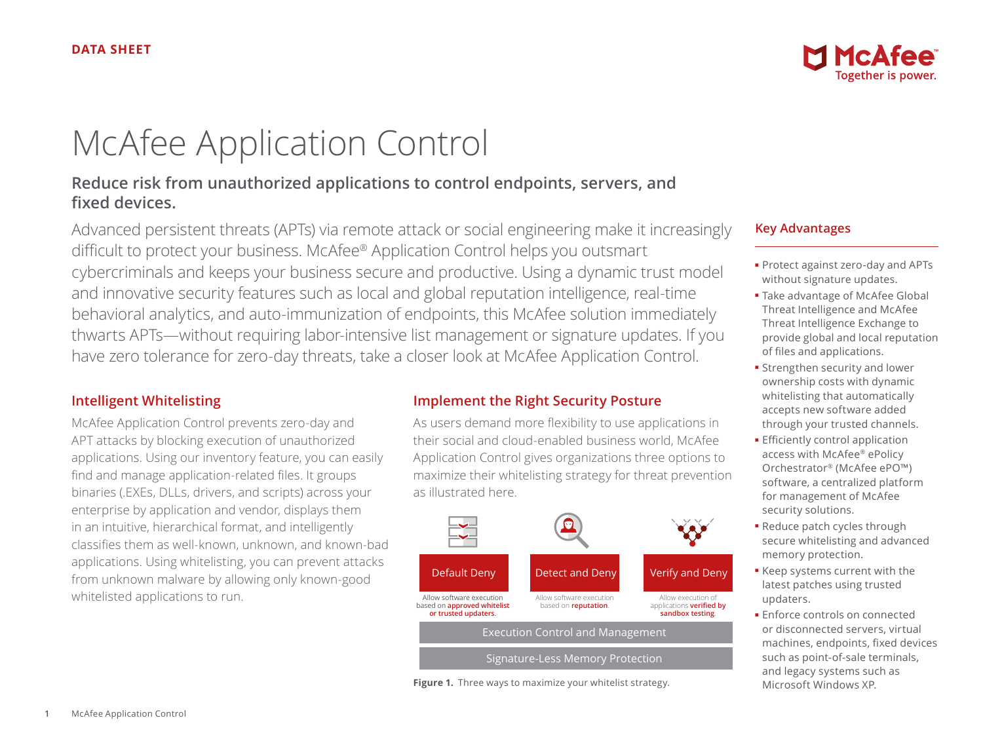# McAfee Application Control

# **Reduce risk from unauthorized applications to control endpoints, servers, and fixed devices.**

Advanced persistent threats (APTs) via remote attack or social engineering make it increasingly difficult to protect your business. McAfee® Application Control helps you outsmart cybercriminals and keeps your business secure and productive. Using a dynamic trust model and innovative security features such as local and global reputation intelligence, real-time behavioral analytics, and auto-immunization of endpoints, this McAfee solution immediately thwarts APTs—without requiring labor-intensive list management or signature updates. If you have zero tolerance for zero-day threats, take a closer look at McAfee Application Control.

# **Intelligent Whitelisting**

McAfee Application Control prevents zero-day and APT attacks by blocking execution of unauthorized applications. Using our inventory feature, you can easily find and manage application-related files. It groups binaries (.EXEs, DLLs, drivers, and scripts) across your enterprise by application and vendor, displays them in an intuitive, hierarchical format, and intelligently classifies them as well-known, unknown, and known-bad applications. Using whitelisting, you can prevent attacks from unknown malware by allowing only known-good whitelisted applications to run.

# **Implement the Right Security Posture**

As users demand more flexibility to use applications in their social and cloud-enabled business world, McAfee Application Control gives organizations three options to maximize their whitelisting strategy for threat prevention as illustrated here.



**Figure 1.** Three ways to maximize your whitelist strategy.

# **Key Advantages**

- Protect against zero-day and APTs without signature updates.
- Take advantage of McAfee Global Threat Intelligence and McAfee Threat Intelligence Exchange to provide global and local reputation of files and applications.
- Strengthen security and lower ownership costs with dynamic whitelisting that automatically accepts new software added through your trusted channels.
- Efficiently control application access with McAfee® ePolicy Orchestrator® (McAfee ePO™) software, a centralized platform for management of McAfee security solutions.
- Reduce patch cycles through secure whitelisting and advanced memory protection.
- Keep systems current with the latest patches using trusted updaters.
- Enforce controls on connected or disconnected servers, virtual machines, endpoints, fixed devices such as point-of-sale terminals, and legacy systems such as Microsoft Windows XP.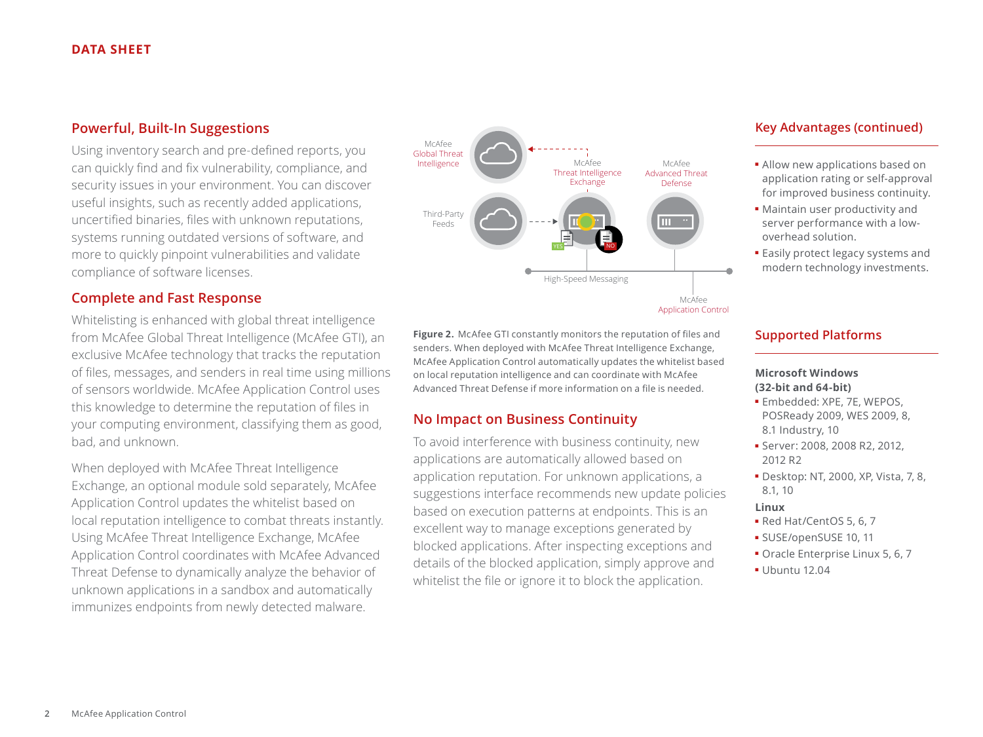## **Powerful, Built-In Suggestions**

Using inventory search and pre-defined reports, you can quickly find and fix vulnerability, compliance, and security issues in your environment. You can discover useful insights, such as recently added applications, uncertified binaries, files with unknown reputations, systems running outdated versions of software, and more to quickly pinpoint vulnerabilities and validate compliance of software licenses.

## **Complete and Fast Response**

Whitelisting is enhanced with global threat intelligence from McAfee Global Threat Intelligence (McAfee GTI), an exclusive McAfee technology that tracks the reputation of files, messages, and senders in real time using millions of sensors worldwide. McAfee Application Control uses this knowledge to determine the reputation of files in your computing environment, classifying them as good, bad, and unknown.

When deployed with McAfee Threat Intelligence Exchange, an optional module sold separately, McAfee Application Control updates the whitelist based on local reputation intelligence to combat threats instantly. Using McAfee Threat Intelligence Exchange, McAfee Application Control coordinates with McAfee Advanced Threat Defense to dynamically analyze the behavior of unknown applications in a sandbox and automatically immunizes endpoints from newly detected malware.



**Figure 2.** McAfee GTI constantly monitors the reputation of files and senders. When deployed with McAfee Threat Intelligence Exchange, McAfee Application Control automatically updates the whitelist based on local reputation intelligence and can coordinate with McAfee Advanced Threat Defense if more information on a file is needed.

## **No Impact on Business Continuity**

To avoid interference with business continuity, new applications are automatically allowed based on application reputation. For unknown applications, a suggestions interface recommends new update policies based on execution patterns at endpoints. This is an excellent way to manage exceptions generated by blocked applications. After inspecting exceptions and details of the blocked application, simply approve and whitelist the file or ignore it to block the application.

## **Key Advantages (continued)**

- Allow new applications based on application rating or self-approval for improved business continuity.
- Maintain user productivity and server performance with a lowoverhead solution.
- Easily protect legacy systems and modern technology investments.

### **Supported Platforms**

#### **Microsoft Windows (32-bit and 64-bit)**

- Embedded: XPE, 7E, WEPOS, POSReady 2009, WES 2009, 8, 8.1 Industry, 10
- Server: 2008, 2008 R2, 2012, 2012 R2
- Desktop: NT, 2000, XP, Vista, 7, 8, 8.1, 10

#### **Linux**

- Red Hat/CentOS 5, 6, 7
- SUSE/openSUSE 10, 11
- Oracle Enterprise Linux 5, 6, 7
- Ubuntu 12.04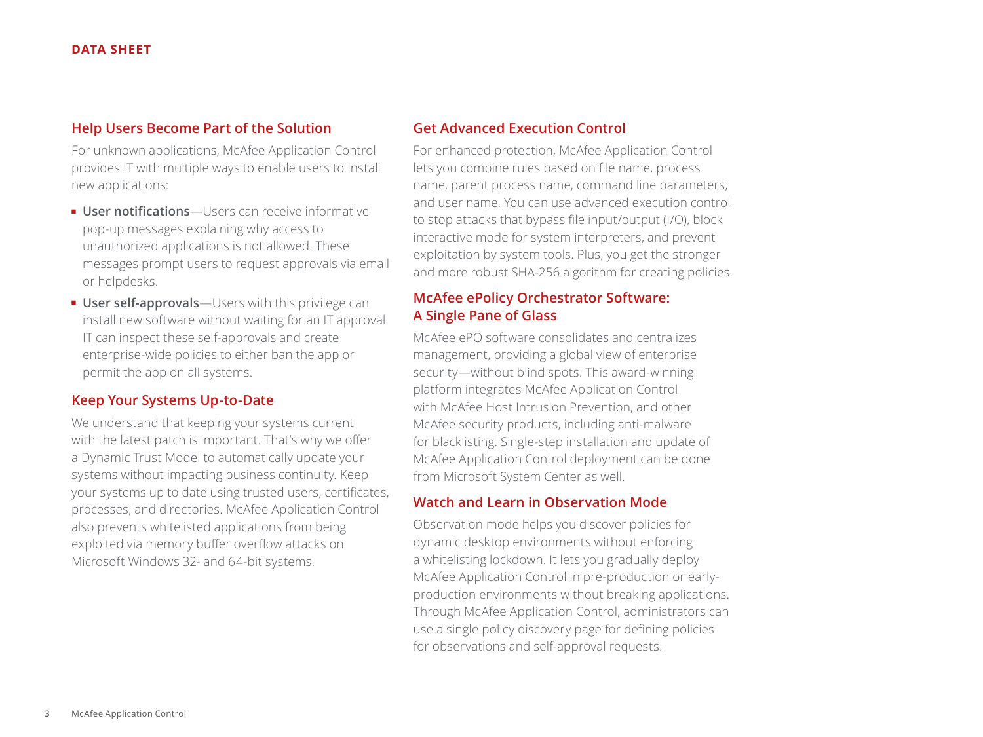## **Help Users Become Part of the Solution**

For unknown applications, McAfee Application Control provides IT with multiple ways to enable users to install new applications:

- **User notifications**—Users can receive informative pop-up messages explaining why access to unauthorized applications is not allowed. These messages prompt users to request approvals via email or helpdesks.
- **User self-approvals**—Users with this privilege can install new software without waiting for an IT approval. IT can inspect these self-approvals and create enterprise-wide policies to either ban the app or permit the app on all systems.

## **Keep Your Systems Up-to-Date**

We understand that keeping your systems current with the latest patch is important. That's why we offer a Dynamic Trust Model to automatically update your systems without impacting business continuity. Keep your systems up to date using trusted users, certificates, processes, and directories. McAfee Application Control also prevents whitelisted applications from being exploited via memory buffer overflow attacks on Microsoft Windows 32- and 64-bit systems.

## **Get Advanced Execution Control**

For enhanced protection, McAfee Application Control lets you combine rules based on file name, process name, parent process name, command line parameters, and user name. You can use advanced execution control to stop attacks that bypass file input/output (I/O), block interactive mode for system interpreters, and prevent exploitation by system tools. Plus, you get the stronger and more robust SHA-256 algorithm for creating policies.

# **McAfee ePolicy Orchestrator Software: A Single Pane of Glass**

McAfee ePO software consolidates and centralizes management, providing a global view of enterprise security—without blind spots. This award-winning platform integrates McAfee Application Control with McAfee Host Intrusion Prevention, and other McAfee security products, including anti-malware for blacklisting. Single-step installation and update of McAfee Application Control deployment can be done from Microsoft System Center as well.

# **Watch and Learn in Observation Mode**

Observation mode helps you discover policies for dynamic desktop environments without enforcing a whitelisting lockdown. It lets you gradually deploy McAfee Application Control in pre-production or earlyproduction environments without breaking applications. Through McAfee Application Control, administrators can use a single policy discovery page for defining policies for observations and self-approval requests.